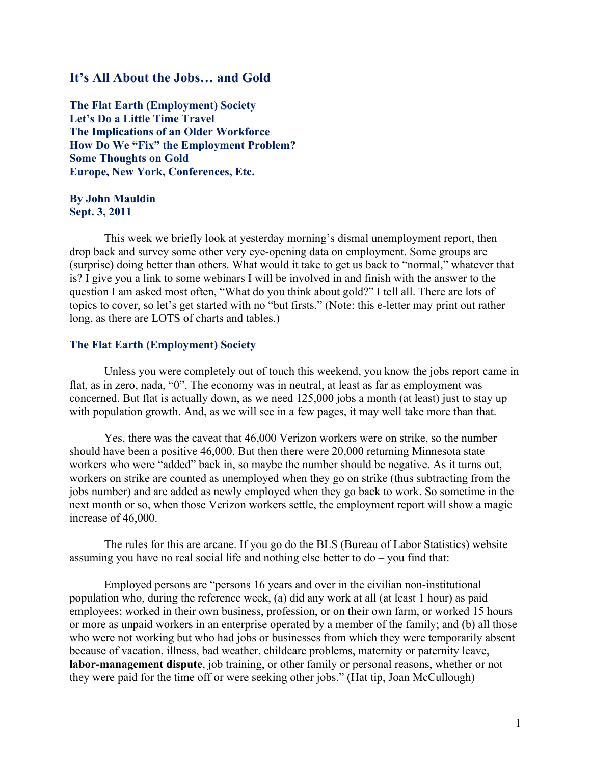## **It's All About the Jobs… and Gold**

**The Flat Earth (Employment) Society Let's Do a Little Time Travel The Implications of an Older Workforce How Do We "Fix" the Employment Problem? Some Thoughts on Gold Europe, New York, Conferences, Etc.**

### **By John Mauldin Sept. 3, 2011**

This week we briefly look at yesterday morning's dismal unemployment report, then drop back and survey some other very eye-opening data on employment. Some groups are (surprise) doing better than others. What would it take to get us back to "normal," whatever that is? I give you a link to some webinars I will be involved in and finish with the answer to the question I am asked most often, "What do you think about gold?" I tell all. There are lots of topics to cover, so let's get started with no "but firsts." (Note: this e-letter may print out rather long, as there are LOTS of charts and tables.)

### **The Flat Earth (Employment) Society**

Unless you were completely out of touch this weekend, you know the jobs report came in flat, as in zero, nada, "0". The economy was in neutral, at least as far as employment was concerned. But flat is actually down, as we need 125,000 jobs a month (at least) just to stay up with population growth. And, as we will see in a few pages, it may well take more than that.

Yes, there was the caveat that 46,000 Verizon workers were on strike, so the number should have been a positive 46,000. But then there were 20,000 returning Minnesota state workers who were "added" back in, so maybe the number should be negative. As it turns out, workers on strike are counted as unemployed when they go on strike (thus subtracting from the jobs number) and are added as newly employed when they go back to work. So sometime in the next month or so, when those Verizon workers settle, the employment report will show a magic increase of 46,000.

The rules for this are arcane. If you go do the BLS (Bureau of Labor Statistics) website – assuming you have no real social life and nothing else better to do – you find that:

Employed persons are "persons 16 years and over in the civilian non-institutional population who, during the reference week, (a) did any work at all (at least 1 hour) as paid employees; worked in their own business, profession, or on their own farm, or worked 15 hours or more as unpaid workers in an enterprise operated by a member of the family; and (b) all those who were not working but who had jobs or businesses from which they were temporarily absent because of vacation, illness, bad weather, childcare problems, maternity or paternity leave, **labor-management dispute**, job training, or other family or personal reasons, whether or not they were paid for the time off or were seeking other jobs." (Hat tip, Joan McCullough)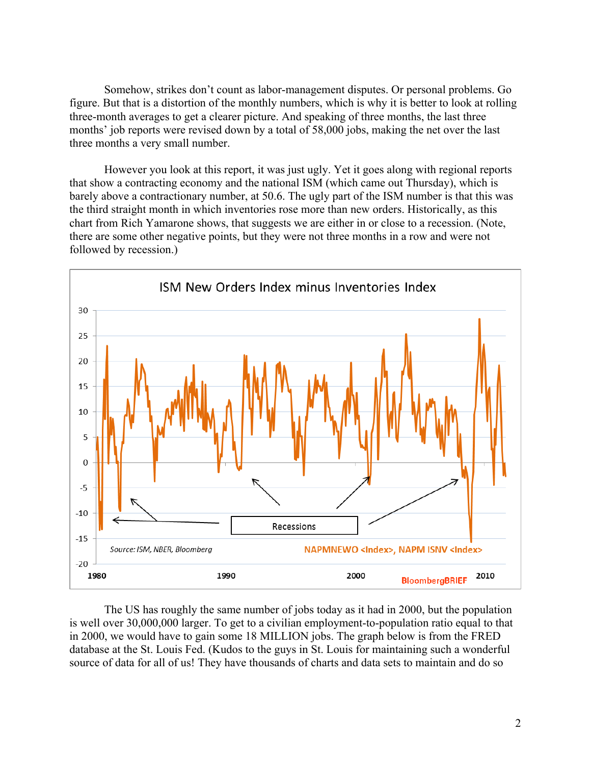Somehow, strikes don't count as labor-management disputes. Or personal problems. Go figure. But that is a distortion of the monthly numbers, which is why it is better to look at rolling three-month averages to get a clearer picture. And speaking of three months, the last three months' job reports were revised down by a total of 58,000 jobs, making the net over the last three months a very small number.

However you look at this report, it was just ugly. Yet it goes along with regional reports that show a contracting economy and the national ISM (which came out Thursday), which is barely above a contractionary number, at 50.6. The ugly part of the ISM number is that this was the third straight month in which inventories rose more than new orders. Historically, as this chart from Rich Yamarone shows, that suggests we are either in or close to a recession. (Note, there are some other negative points, but they were not three months in a row and were not followed by recession.)



The US has roughly the same number of jobs today as it had in 2000, but the population is well over 30,000,000 larger. To get to a civilian employment-to-population ratio equal to that in 2000, we would have to gain some 18 MILLION jobs. The graph below is from the FRED database at the St. Louis Fed. (Kudos to the guys in St. Louis for maintaining such a wonderful source of data for all of us! They have thousands of charts and data sets to maintain and do so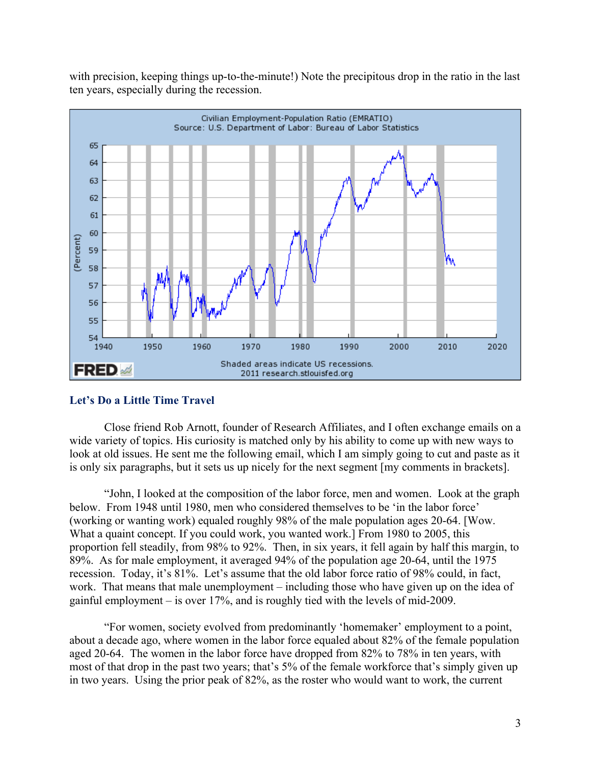with precision, keeping things up-to-the-minute!) Note the precipitous drop in the ratio in the last ten years, especially during the recession.



## **Let's Do a Little Time Travel**

Close friend Rob Arnott, founder of Research Affiliates, and I often exchange emails on a wide variety of topics. His curiosity is matched only by his ability to come up with new ways to look at old issues. He sent me the following email, which I am simply going to cut and paste as it is only six paragraphs, but it sets us up nicely for the next segment [my comments in brackets].

"John, I looked at the composition of the labor force, men and women. Look at the graph below. From 1948 until 1980, men who considered themselves to be 'in the labor force' (working or wanting work) equaled roughly 98% of the male population ages 20-64. [Wow. What a quaint concept. If you could work, you wanted work.] From 1980 to 2005, this proportion fell steadily, from 98% to 92%. Then, in six years, it fell again by half this margin, to 89%. As for male employment, it averaged 94% of the population age 20-64, until the 1975 recession. Today, it's 81%. Let's assume that the old labor force ratio of 98% could, in fact, work. That means that male unemployment – including those who have given up on the idea of gainful employment – is over 17%, and is roughly tied with the levels of mid-2009.

"For women, society evolved from predominantly 'homemaker' employment to a point, about a decade ago, where women in the labor force equaled about 82% of the female population aged 20-64. The women in the labor force have dropped from 82% to 78% in ten years, with most of that drop in the past two years; that's 5% of the female workforce that's simply given up in two years. Using the prior peak of 82%, as the roster who would want to work, the current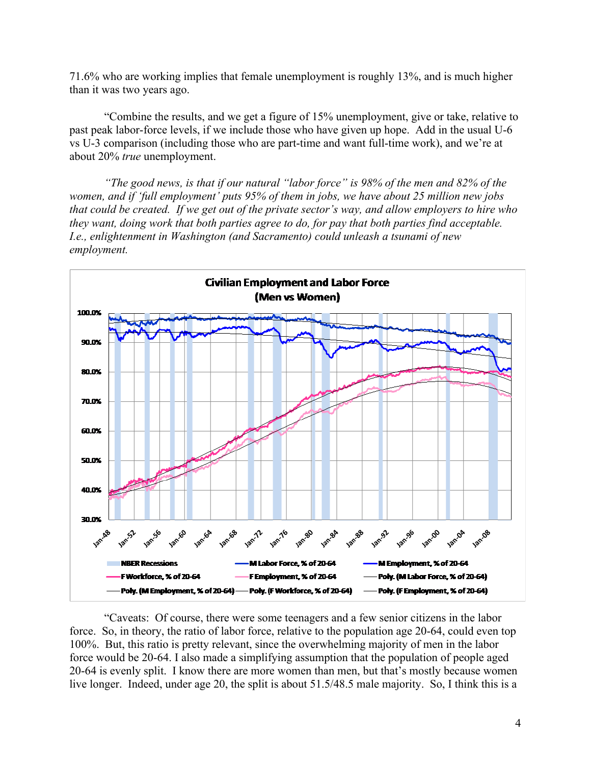71.6% who are working implies that female unemployment is roughly 13%, and is much higher than it was two years ago.

"Combine the results, and we get a figure of 15% unemployment, give or take, relative to past peak labor-force levels, if we include those who have given up hope. Add in the usual U-6 vs U-3 comparison (including those who are part-time and want full-time work), and we're at about 20% *true* unemployment.

*"The good news, is that if our natural "labor force" is 98% of the men and 82% of the women, and if 'full employment' puts 95% of them in jobs, we have about 25 million new jobs that could be created. If we get out of the private sector's way, and allow employers to hire who they want, doing work that both parties agree to do, for pay that both parties find acceptable. I.e., enlightenment in Washington (and Sacramento) could unleash a tsunami of new employment.*



"Caveats: Of course, there were some teenagers and a few senior citizens in the labor force. So, in theory, the ratio of labor force, relative to the population age 20-64, could even top 100%. But, this ratio is pretty relevant, since the overwhelming majority of men in the labor force would be 20-64. I also made a simplifying assumption that the population of people aged 20-64 is evenly split. I know there are more women than men, but that's mostly because women live longer. Indeed, under age 20, the split is about 51.5/48.5 male majority. So, I think this is a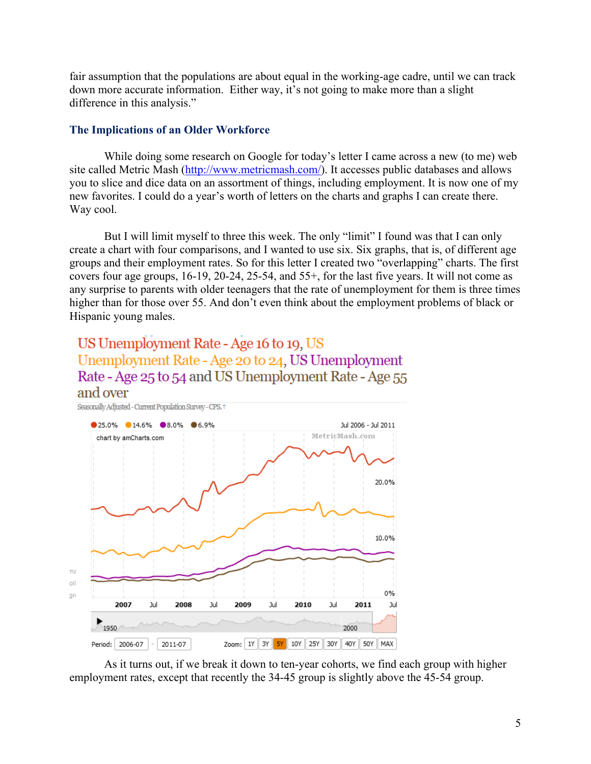fair assumption that the populations are about equal in the working-age cadre, until we can track down more accurate information. Either way, it's not going to make more than a slight difference in this analysis."

### **The Implications of an Older Workforce**

While doing some research on Google for today's letter I came across a new (to me) web site called Metric Mash (http://www.metricmash.com/). It accesses public databases and allows you to slice and dice data on an assortment of things, including employment. It is now one of my new favorites. I could do a year's worth of letters on the charts and graphs I can create there. Way cool.

But I will limit myself to three this week. The only "limit" I found was that I can only create a chart with four comparisons, and I wanted to use six. Six graphs, that is, of different age groups and their employment rates. So for this letter I created two "overlapping" charts. The first covers four age groups, 16-19, 20-24, 25-54, and 55+, for the last five years. It will not come as any surprise to parents with older teenagers that the rate of unemployment for them is three times higher than for those over 55. And don't even think about the employment problems of black or Hispanic young males.

## US Unemployment Rate - Age 16 to 19, US Unemployment Rate - Age 20 to 24, US Unemployment Rate - Age 25 to 54 and US Unemployment Rate - Age 55 and over



As it turns out, if we break it down to ten-year cohorts, we find each group with higher employment rates, except that recently the 34-45 group is slightly above the 45-54 group.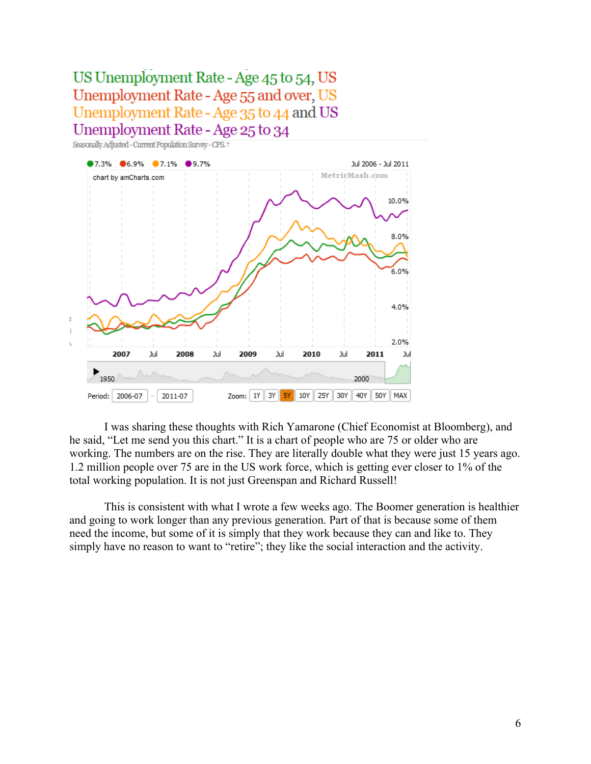## US Unemployment Rate - Age 45 to 54, US Unemployment Rate - Age 55 and over, US Unemployment Rate - Age 35 to 44 and US Unemployment Rate - Age 25 to 34





I was sharing these thoughts with Rich Yamarone (Chief Economist at Bloomberg), and he said, "Let me send you this chart." It is a chart of people who are 75 or older who are working. The numbers are on the rise. They are literally double what they were just 15 years ago. 1.2 million people over 75 are in the US work force, which is getting ever closer to 1% of the total working population. It is not just Greenspan and Richard Russell!

This is consistent with what I wrote a few weeks ago. The Boomer generation is healthier and going to work longer than any previous generation. Part of that is because some of them need the income, but some of it is simply that they work because they can and like to. They simply have no reason to want to "retire"; they like the social interaction and the activity.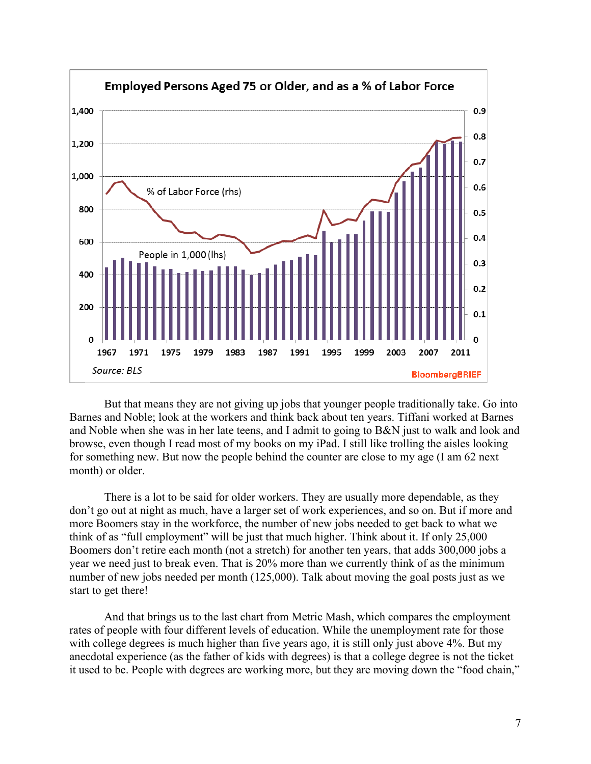

But that means they are not giving up jobs that younger people traditionally take. Go into Barnes and Noble; look at the workers and think back about ten years. Tiffani worked at Barnes and Noble when she was in her late teens, and I admit to going to B&N just to walk and look and browse, even though I read most of my books on my iPad. I still like trolling the aisles looking for something new. But now the people behind the counter are close to my age (I am 62 next month) or older.

There is a lot to be said for older workers. They are usually more dependable, as they don't go out at night as much, have a larger set of work experiences, and so on. But if more and more Boomers stay in the workforce, the number of new jobs needed to get back to what we think of as "full employment" will be just that much higher. Think about it. If only 25,000 Boomers don't retire each month (not a stretch) for another ten years, that adds 300,000 jobs a year we need just to break even. That is 20% more than we currently think of as the minimum number of new jobs needed per month (125,000). Talk about moving the goal posts just as we start to get there!

And that brings us to the last chart from Metric Mash, which compares the employment rates of people with four different levels of education. While the unemployment rate for those with college degrees is much higher than five years ago, it is still only just above 4%. But my anecdotal experience (as the father of kids with degrees) is that a college degree is not the ticket it used to be. People with degrees are working more, but they are moving down the "food chain,"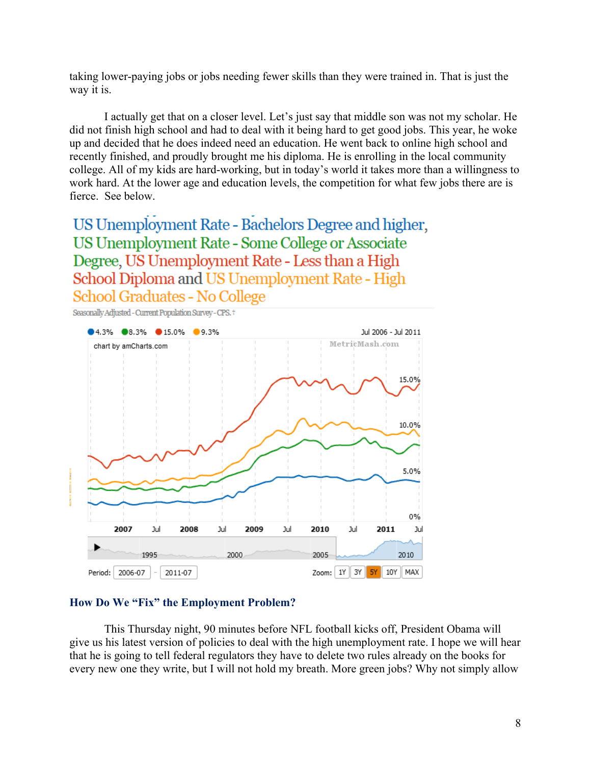taking lower-paying jobs or jobs needing fewer skills than they were trained in. That is just the way it is.

I actually get that on a closer level. Let's just say that middle son was not my scholar. He did not finish high school and had to deal with it being hard to get good jobs. This year, he woke up and decided that he does indeed need an education. He went back to online high school and recently finished, and proudly brought me his diploma. He is enrolling in the local community college. All of my kids are hard-working, but in today's world it takes more than a willingness to work hard. At the lower age and education levels, the competition for what few jobs there are is fierce. See below.

US Unemployment Rate - Bachelors Degree and higher, US Unemployment Rate - Some College or Associate Degree, US Unemployment Rate - Less than a High School Diploma and US Unemployment Rate - High School Graduates - No College



#### **How Do We "Fix" the Employment Problem?**

This Thursday night, 90 minutes before NFL football kicks off, President Obama will give us his latest version of policies to deal with the high unemployment rate. I hope we will hear that he is going to tell federal regulators they have to delete two rules already on the books for every new one they write, but I will not hold my breath. More green jobs? Why not simply allow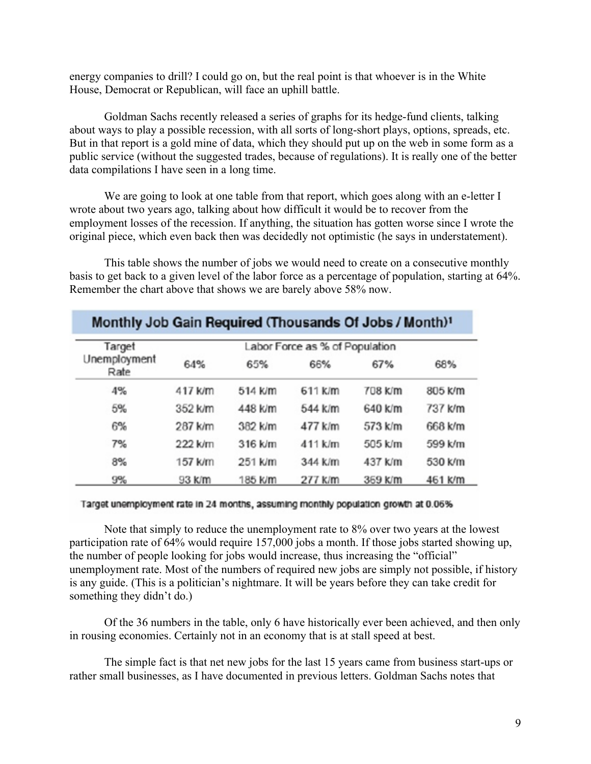energy companies to drill? I could go on, but the real point is that whoever is in the White House, Democrat or Republican, will face an uphill battle.

Goldman Sachs recently released a series of graphs for its hedge-fund clients, talking about ways to play a possible recession, with all sorts of long-short plays, options, spreads, etc. But in that report is a gold mine of data, which they should put up on the web in some form as a public service (without the suggested trades, because of regulations). It is really one of the better data compilations I have seen in a long time.

We are going to look at one table from that report, which goes along with an e-letter I wrote about two years ago, talking about how difficult it would be to recover from the employment losses of the recession. If anything, the situation has gotten worse since I wrote the original piece, which even back then was decidedly not optimistic (he says in understatement).

This table shows the number of jobs we would need to create on a consecutive monthly basis to get back to a given level of the labor force as a percentage of population, starting at 64%. Remember the chart above that shows we are barely above 58% now.

| Target<br>Unemployment<br>Rate | Labor Force as % of Population |         |         |         |         |
|--------------------------------|--------------------------------|---------|---------|---------|---------|
|                                | 64%                            | 65%     | 66%     | 67%     | 68%     |
| 4%                             | 417 k/m                        | 514 K/m | 611 K/m | 708 K/m | 805 k/m |
| 5%                             | 352 k/m                        | 448 k/m | 544 k/m | 640 k/m | 737 k/m |
| 6%                             | 287 k/m                        | 382 k/m | 477 k/m | 573 k/m | 668 k/m |
| 7%                             | 222 k/m                        | 316 k/m | 411 k/m | 505 k/m | 599 k/m |
| 8%                             | 157 k/m                        | 251 k/m | 344 k/m | 437 k/m | 530 k/m |
| 9%                             | 93 K/m                         | 185 k/m | 277 k/m | 369 K/m | 461 k/m |

# Target unemployment rate in 24 months, assuming monthly population growth at 0.06%

Note that simply to reduce the unemployment rate to 8% over two years at the lowest participation rate of 64% would require 157,000 jobs a month. If those jobs started showing up, the number of people looking for jobs would increase, thus increasing the "official" unemployment rate. Most of the numbers of required new jobs are simply not possible, if history is any guide. (This is a politician's nightmare. It will be years before they can take credit for something they didn't do.)

Of the 36 numbers in the table, only 6 have historically ever been achieved, and then only in rousing economies. Certainly not in an economy that is at stall speed at best.

The simple fact is that net new jobs for the last 15 years came from business start-ups or rather small businesses, as I have documented in previous letters. Goldman Sachs notes that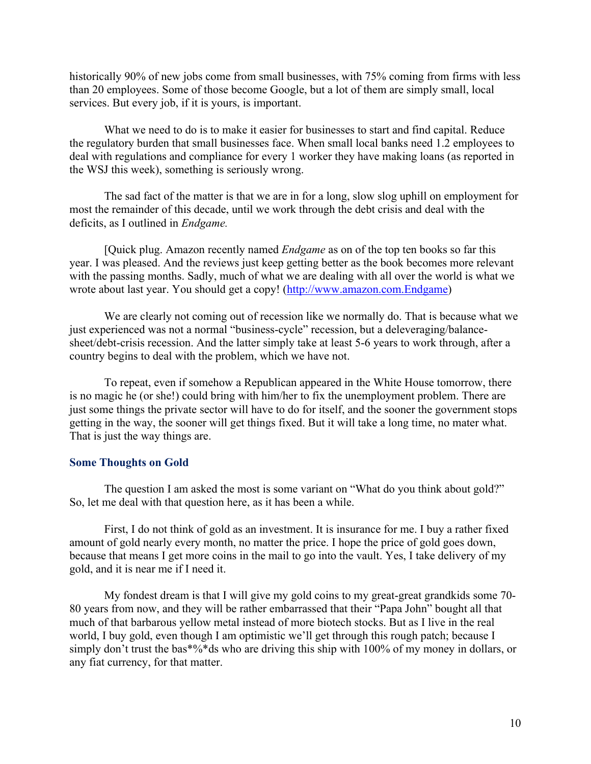historically 90% of new jobs come from small businesses, with 75% coming from firms with less than 20 employees. Some of those become Google, but a lot of them are simply small, local services. But every job, if it is yours, is important.

What we need to do is to make it easier for businesses to start and find capital. Reduce the regulatory burden that small businesses face. When small local banks need 1.2 employees to deal with regulations and compliance for every 1 worker they have making loans (as reported in the WSJ this week), something is seriously wrong.

The sad fact of the matter is that we are in for a long, slow slog uphill on employment for most the remainder of this decade, until we work through the debt crisis and deal with the deficits, as I outlined in *Endgame.*

[Quick plug. Amazon recently named *Endgame* as on of the top ten books so far this year. I was pleased. And the reviews just keep getting better as the book becomes more relevant with the passing months. Sadly, much of what we are dealing with all over the world is what we wrote about last year. You should get a copy! (http://www.amazon.com.Endgame)

We are clearly not coming out of recession like we normally do. That is because what we just experienced was not a normal "business-cycle" recession, but a deleveraging/balancesheet/debt-crisis recession. And the latter simply take at least 5-6 years to work through, after a country begins to deal with the problem, which we have not.

To repeat, even if somehow a Republican appeared in the White House tomorrow, there is no magic he (or she!) could bring with him/her to fix the unemployment problem. There are just some things the private sector will have to do for itself, and the sooner the government stops getting in the way, the sooner will get things fixed. But it will take a long time, no mater what. That is just the way things are.

### **Some Thoughts on Gold**

The question I am asked the most is some variant on "What do you think about gold?" So, let me deal with that question here, as it has been a while.

First, I do not think of gold as an investment. It is insurance for me. I buy a rather fixed amount of gold nearly every month, no matter the price. I hope the price of gold goes down, because that means I get more coins in the mail to go into the vault. Yes, I take delivery of my gold, and it is near me if I need it.

My fondest dream is that I will give my gold coins to my great-great grandkids some 70- 80 years from now, and they will be rather embarrassed that their "Papa John" bought all that much of that barbarous yellow metal instead of more biotech stocks. But as I live in the real world, I buy gold, even though I am optimistic we'll get through this rough patch; because I simply don't trust the bas\*%\*ds who are driving this ship with 100% of my money in dollars, or any fiat currency, for that matter.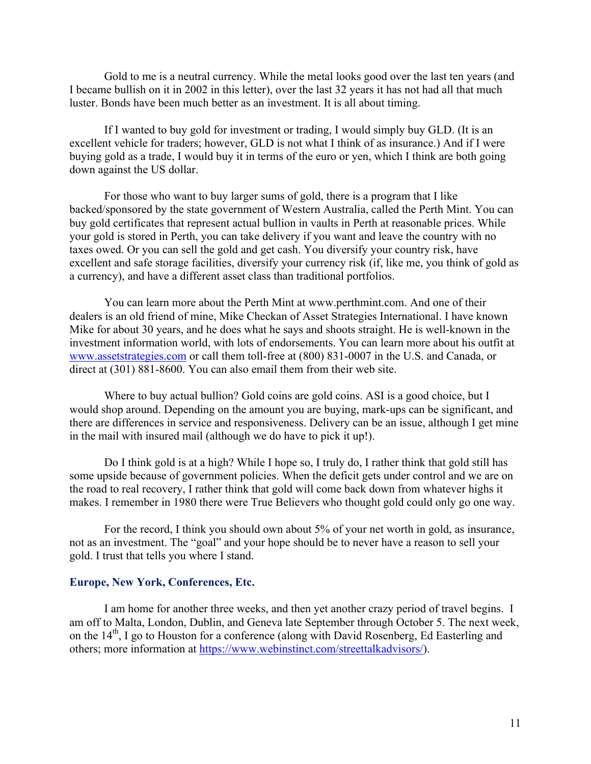Gold to me is a neutral currency. While the metal looks good over the last ten years (and I became bullish on it in 2002 in this letter), over the last 32 years it has not had all that much luster. Bonds have been much better as an investment. It is all about timing.

If I wanted to buy gold for investment or trading, I would simply buy GLD. (It is an excellent vehicle for traders; however, GLD is not what I think of as insurance.) And if I were buying gold as a trade, I would buy it in terms of the euro or yen, which I think are both going down against the US dollar.

For those who want to buy larger sums of gold, there is a program that I like backed/sponsored by the state government of Western Australia, called the Perth Mint. You can buy gold certificates that represent actual bullion in vaults in Perth at reasonable prices. While your gold is stored in Perth, you can take delivery if you want and leave the country with no taxes owed. Or you can sell the gold and get cash. You diversify your country risk, have excellent and safe storage facilities, diversify your currency risk (if, like me, you think of gold as a currency), and have a different asset class than traditional portfolios.

You can learn more about the Perth Mint at www.perthmint.com. And one of their dealers is an old friend of mine, Mike Checkan of Asset Strategies International. I have known Mike for about 30 years, and he does what he says and shoots straight. He is well-known in the investment information world, with lots of endorsements. You can learn more about his outfit at www.assetstrategies.com or call them toll-free at (800) 831-0007 in the U.S. and Canada, or direct at (301) 881-8600. You can also email them from their web site.

Where to buy actual bullion? Gold coins are gold coins. ASI is a good choice, but I would shop around. Depending on the amount you are buying, mark-ups can be significant, and there are differences in service and responsiveness. Delivery can be an issue, although I get mine in the mail with insured mail (although we do have to pick it up!).

Do I think gold is at a high? While I hope so, I truly do, I rather think that gold still has some upside because of government policies. When the deficit gets under control and we are on the road to real recovery, I rather think that gold will come back down from whatever highs it makes. I remember in 1980 there were True Believers who thought gold could only go one way.

For the record, I think you should own about 5% of your net worth in gold, as insurance, not as an investment. The "goal" and your hope should be to never have a reason to sell your gold. I trust that tells you where I stand.

#### **Europe, New York, Conferences, Etc.**

I am home for another three weeks, and then yet another crazy period of travel begins. I am off to Malta, London, Dublin, and Geneva late September through October 5. The next week, on the 14<sup>th</sup>, I go to Houston for a conference (along with David Rosenberg, Ed Easterling and others; more information at https://www.webinstinct.com/streettalkadvisors/).